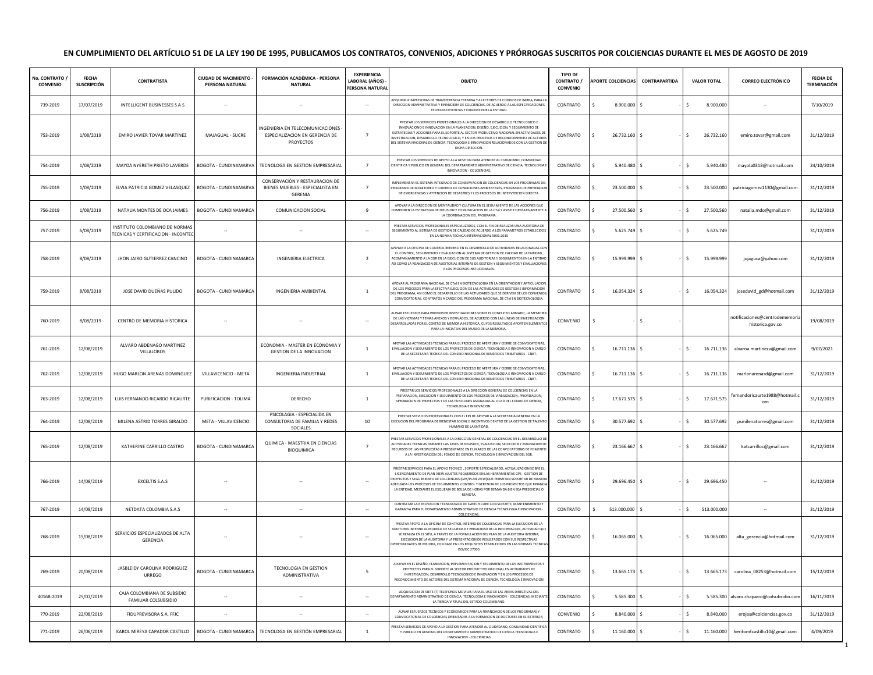## **EN CUMPLIMIENTO DEL ARTÍCULO 51 DE LA LEY 190 DE 1995, PUBLICAMOS LOS CONTRATOS, CONVENIOS, ADICIONES Y PRÓRROGAS SUSCRITOS POR COLCIENCIAS DURANTE EL MES DE AGOSTO DE 2019**

| No. CONTRATO /<br><b>CONVENIO</b> | <b>FECHA</b><br><b>SUSCRIPCIÓN</b> | <b>CONTRATISTA</b>                                                    | <b>CIUDAD DE NACIMIENTO -</b><br>PERSONA NATURAL | FORMACIÓN ACADÉMICA - PERSONA<br><b>NATURAL</b>                                 | <b>EXPERIENCIA</b><br>LABORAL (AÑOS) -<br>PERSONA NATURAL | <b>OBJETO</b>                                                                                                                                                                                                                                                                                                                                                                                                                                                        | <b>TIPO DE</b><br><b>CONTRATO /</b><br><b>CONVENIO</b> | APORTE COLCIENCIAS CONTRAPARTIDA | <b>VALOR TOTAL</b>         | <b>CORREO ELECTRÓNICO</b>                          | <b>FECHA DE</b><br><b>TERMINACIÓN</b> |
|-----------------------------------|------------------------------------|-----------------------------------------------------------------------|--------------------------------------------------|---------------------------------------------------------------------------------|-----------------------------------------------------------|----------------------------------------------------------------------------------------------------------------------------------------------------------------------------------------------------------------------------------------------------------------------------------------------------------------------------------------------------------------------------------------------------------------------------------------------------------------------|--------------------------------------------------------|----------------------------------|----------------------------|----------------------------------------------------|---------------------------------------|
| 739-2019                          | 17/07/2019                         | INTELLIGENT BUSINESSES S A S                                          |                                                  | $\sim$                                                                          |                                                           | ADQUIRIR 4 IMPRESORAS DE TRANSFERENCIA TERMINA Y 4 LECTORES DE CODIGOS DE BARRA. PARA L<br>DIRECCION ADMINISTRATIVA Y FINANCIERA DE COLCIENCIAS, DE ACUERDO A LAS ESPECIFICACIONES<br>TECNICAS DESCRITAS Y EXIGIDAS POR LA ENTIDAD                                                                                                                                                                                                                                   | CONTRATO                                               | 8.900.000 \$                     | 8.900.000<br>\$            |                                                    | 7/10/2019                             |
| 753-2019                          | 1/08/2019                          | EMIRO JAVIER TOVAR MARTINEZ                                           | MAJAGUAL - SUCRE                                 | INGENIERIA EN TELECOMUNICACIONES<br>ESPECIALIZACION EN GERENCIA DE<br>PROYECTOS | $\overline{7}$                                            | PRESTAR LOS SERVICIOS PROFESIONALES A LA DIRECCION DE DESARROLLO TECNOLOGICO E<br>INNOVACIONO E INNOVACION EN LA PLANEACION, DISEÑO, EJECUCION, Y SEGUIMIENTO DE<br>ESTRATEGIAS Y ACCIONES PARA EL SOPORTE AL SECTOR PRODUCTIVO NACIONAL EN ACTIVIDADES DE<br>NVESTIGACION. DESARROLLO TECNOLOGICO. Y EN LOS PROCESOS DE RECONOCIMIENTO DE ACTORES<br>DEL SISTEMA NACIONAL DE CIENCIA, TECNOLOGIA E INNOVACION RELACIONADOS CON LA GESTION DE<br>DICHA DIRECCION     | CONTRATO                                               | 26.732.160 \$                    | s.<br>26.732.160           | emiro.tovar@gmail.com                              | 31/12/2019                            |
| 754-2019                          | 1/08/2019                          | MAYDA NYERETH PRIETO LAVERDE                                          |                                                  | BOGOTA - CUNDINAMARVA TECNOLOGA EN GESTION EMPRESARIAL                          | $\overline{7}$                                            | PRESTAR LOS SERVICIOS DE APOYO A LA GESTION PARA ATENDER AL CIUDADANO, COMUNIDAD<br>IENTIFICA Y PUBLICO EN GENERAL DEL DEPARTAMENTO ADMINISTRATIVO DE CIENCIA, TECNOLOGIA<br>INNOVACION - COLCIENCIAS.                                                                                                                                                                                                                                                               | CONTRATO                                               | 5.940.480 \$                     | \$<br>5.940.480            | mayola0318@hotmail.com                             | 24/10/2019                            |
| 755-2019                          | 1/08/2019                          | ELVIA PATRICIA GOMEZ VELASQUEZ                                        | BOGOTA - CUNDINAMARVA                            | CONSERVACIÓN Y RESTAURACION DE<br>BIENES MUEBLES - ESPECIALISTA EN<br>GERENIA   | $\overline{7}$                                            | MPLEMENTAR EL SISTEMA INTEGRADO DE CONSERVACIÓN DE COLCIENCIAS EN LOS PROGRAMAS DI<br>ROGRAMA DE MONITOREO Y CONTROL DE CONDICIONES AMBIENTALES, PROGRAMA DE PREVENCIOI<br>DE EMERGENCIAS Y ATTENCION DE DESASTRES Y LOS PROCESOS DE INTERVENCION DIRECTA.                                                                                                                                                                                                           | CONTRATO                                               | 23.500.000 \$                    | \$<br>23.500.000           | patriciagomez1130@gmail.com                        | 31/12/2019                            |
| 756-2019                          | 1/08/2019                          | NATALIA MONTES DE OCA JAIMES                                          | BOGOTA - CUNDINAMARCA                            | COMUNICACION SOCIAL                                                             | 9                                                         | APOYAR A LA DIRECCIÓN DE MENTALIDAD Y CULTURA EN EL SEGUIMIENTO DE LAS ACCIONES QUE<br>OMPONEN LA ESTRATEGIA DE DIFUSIÓN Y COMUNICACIÓN DE LA CTel Y ASISTIR OPERATIVAMENTE.<br>LA COORDINACION DEL PROGRAMA                                                                                                                                                                                                                                                         | CONTRATO                                               | 27.500.560 \$                    | 27.500.560<br>s.           | natalia.mdo@gmail.com                              | 31/12/2019                            |
| 757-2019                          | 6/08/2019                          | INSTITUTO COLOMBIANO DE NORMAS<br>TECNICAS Y CERTIFICACION - INCONTEO |                                                  | $\sim$                                                                          | $\sim$                                                    | PRESTAR SERVICIOS PROFESIONALES ESPECIALIZADOS. CON EL FIN DE REALIZAR UNA AUDITORIA DE<br>EGUIMIENTO AL SISTEMA DE GESTION DE CALIDAD DE ACUERDO A LOS PARAMETROS ESTABLECIDO:<br>EN LA NORMA TECNICA INTERNACIONAL 9001:2015                                                                                                                                                                                                                                       | CONTRATO                                               | 5.625.749 \$                     | 5.625.749<br>\$            |                                                    | 31/12/2019                            |
| 758-2019                          | 8/08/2019                          | JHON JAIRO GUTIERREZ CANCINO                                          | BOGOTA - CUNDINAMARCA                            | <b>INGENIERIA ELECTRICA</b>                                                     | $\overline{2}$                                            | POYAR A LA OFICINA DE CONTROL INTERNO EN EL DESARROLLO DE ACTIVIDADES RELACIONADAS CO<br>EL CONTROL, SEGUIMIENTO Y EVALUACION AL SISTEMA DE GESTION DE CALIDAD DE LA ENTIDAD,<br>ACOMPAÑAMIENTO A LA CGR EN LA EJECUCION DE SUS AUDITORIAS Y SEGUIMIENTOS EN LA ENTIDAD<br>ISI COMO LA REAKIZACION DE AUDITORIAS INTERNAS DE GESTION Y SEGUIMIENTOS Y EVALUACIONE<br>A LOS PROCESOS INSTUCIONALES.                                                                   | CONTRATO                                               | 15.999.999 \$                    | 15.999.999<br>Ŝ.           | jojaguca@yahoo.com                                 | 31/12/2019                            |
| 759-2019                          | 8/08/2019                          | JOSE DAVID DUEÑAS PULIDO                                              | BOGOTA - CUNDINAMARCA                            | INGENIERIA AMBIENTAL                                                            | <sup>1</sup>                                              | APOYAR AL PROGRAMA NACIONAL DE CTel EN BIOTECNOLOGIA EN LA ORIENTACION Y ARTICULACION<br>DE LOS PROCESOS PARA LA EFECTIVA EJECUCION DE LAS ACTIVIDADES DE GESTION E INFORMACION<br>EL PROGRAMA, ASI COMO EL DESARROLLO DE LAS ACTIVIDADES QUE SE DERIVEN DE LOS CONVENIO<br>CONVOCATORIAS, CONTRATOS A CARGO DEL PROGRAMA NACIONAL DE CTel EN BIOTECNOLOGIA                                                                                                          | CONTRATO                                               | 16.054.324 \$                    | 16.054.324<br>S.           | josedavid_gd@hotmail.com                           | 31/12/2019                            |
| 760-2019                          | 8/08/2019                          | CENTRO DE MEMORIA HISTORICA                                           |                                                  |                                                                                 | $\sim$                                                    | UNAR ESFUERZOS PARA PROMOVER INVESTIGACIONES SOBRE EL CONFLICTO ARMADO, LA MEMORI<br>DE LAS VICTIMAS Y TEMAS ANEXOS Y DERIVADOS, DE ACUERDO CON LAS LINEAS DE INVESTIGACION<br>ESARROLLADAS POR EL CENTRO DE MEMORIA HISTORICA, CUYOS RESULTADOS APORTEN ELEMENTO<br>PARA LA INICIATIVA DEL MUSEO DE LA MEMORIA.                                                                                                                                                     | CONVENIO                                               |                                  |                            | notificaciones@centrodememoria<br>historica.gov.co | 19/08/2019                            |
| 761-2019                          | 12/08/2019                         | ALVARO ABDENAGO MARTINEZ<br>VILLALOBOS                                |                                                  | ECONOMIA - MASTER EN ECONOMIA Y<br><b>GESTION DE LA INNOVACION</b>              | $\mathbf{1}$                                              | APOYAR LAS ACTIVIDADES TECNICAS PARA EL PROCESO DE APERTURA Y CIERRE DE CONVOCATORIAS<br>EVALUACION Y SEGUIMIENTO DE LOS PROYECTOS DE CIENCIA, TECNOLOGIA E INNOVACION A CARGO<br>DE LA SECRETARIA TECNICA DEL CONSEJO NACIONAL DE BENEFICIOS TRIBUTARIOS - CNBT.                                                                                                                                                                                                    | CONTRATO                                               | 16.711.136 \$                    | Ŝ.<br>16.711.136           | alvaroa.martinezv@gmail.com                        | 9/07/2021                             |
| 762-2019                          | 12/08/2019                         | IUGO MARLON ARENAS DOMINGUEZ                                          | VILLAVICENCIO - META                             | INGENIERIA INDUSTRIAL                                                           | $\mathbf{1}$                                              | APOYAR LAS ACTIVIDADES TECNICAS PARA EL PROCESO DE APERTURA Y CIERRE DE CONVOCATORIAS<br>EVALUACION Y SEGUIMIENTO DE LOS PROYECTOS DE CIENCIA, TECNOLOGIA E INNOVACION A CARGO<br>DE LA SECRETARIA TECNICA DEL CONSEJO NACIONAL DE BENEFICIOS TRIBUTARIOS - CNBT.                                                                                                                                                                                                    | CONTRATO                                               | 16.711.136 \$                    | \$<br>16.711.136           | marlonarenasd@gmail.com                            | 31/12/2019                            |
| 763-2019                          | 12/08/2019                         | LUIS FERNANDO RICARDO RICAURTE                                        | PURIFICACION - TOLIMA                            | DERECHO                                                                         | $\mathbf{1}$                                              | PRESTAR LOS SERVICIOS PROFESIONALES A LA DIRECCION GENERAL DE COLCIENCIAS EN LA<br>PREPARACION, EJECUCION Y SEGUIMIENTO DE LOS PROCESOS DE VIABILIZACION, PRIORIZACION,<br>APROBACION DE PROYECTOS Y DE LAS FUNCIONES ASIGNADAS AL OCAD DEL FONDO DE CIENCIA,<br><b>TECNOLOGIA E INNOVACION</b>                                                                                                                                                                      | CONTRATO                                               | 17.671.575 \$                    | 17.671.575<br>s.           | ernandoricaurte1988@hotmail.c                      | 31/12/2019                            |
| 764-2019                          | 12/08/2019                         | MILENA ASTRID TORRES GIRALDO                                          | META - VILLAVICENCIO                             | PSICOLAGIA - ESPECIALIDA EN<br>CONSULTORIA DE FAMILIA Y REDES<br>SOCIALES       | 10                                                        | PRESTAR SERVICIOS PROFESIONALES CON EL FIN DE APOYAR A LA SECRETARIA GENERAL EN LA<br>JECUCION DEL PROGRAMA DE BIENESTAR SOCIAL E INCENTIVOS DENTRO DE LA GESTION DE TALENTO<br>HUMANO DE LA ENTIDAD                                                                                                                                                                                                                                                                 | CONTRATO                                               | 30.577.692 \$                    | Ŝ.<br>30.577.692           | psmilenatorres@gmail.com                           | 31/12/2019                            |
| 765-2019                          | 12/08/2019                         | KATHERINE CARRILLO CASTRO                                             | BOGOTA - CUNDINAMARCA                            | QUIMICA - MAESTRIA EN CIENCIAS<br>BIOQUIMICA                                    | $\overline{7}$                                            | RESTAR SERVICIOS PROFESIONALES A LA DIRECCION GENERAL DE COLCIENCIAS EN EL DESARROLLO<br>CTIVIDADES TECNICAS DURANTE LAS FASES DE REVISION, EVALUACION, SELECCION Y ASIGNACION DI<br>RECURSOS DE LAS PROPUESTAS A PRESENTARSE EN EL MARCO DE LAS CONVOCATORIAS DE FOMENTO<br>A LA INVESTIGACIÓN DEL FONDO DE CIENCIA, TECNOLOGIA E INNOVACIÓN DEL SGR.                                                                                                               | CONTRATO                                               | 23.166.667 \$                    | 23.166.667<br>s.           | katcarrilloc@gmail.com                             | 31/12/2019                            |
| 766-2019                          | 14/08/2019                         | EXCELTIS S.A.S                                                        |                                                  |                                                                                 |                                                           | PRESTAR SERVICIOS PARA EL APOYO TECNICO, SOPORTE ESPECIALIZADO, ACTUALIZACION SOBRE EL<br>LICENCIAMIENTO DE PLAN VIEW AJUSTES REQUERIDOS EN LAS HERRAMIENTAS GPS - GESTION DE<br>ROYECTOS Y SEGUIMIENTO DE COLCIENCIAS (GPS/PLAN VIEW)QUE PERMITAN SOPORTAR DE MANER<br>DECUADA LOS PROCESOS DE SEGUIMIENTO, CONTROL Y GERENCIA DE LOS PROYECTOS QUE FINANCI<br>LA ENTIDAD, MEDIANTE EL ESQUEMA DE BOLSA DE HORAS POR DEMANDA BIEN SEA PRESENCIAL O<br><b>REMOTA</b> | CONTRATO                                               | 29.696.450 \$                    | 29.696.450<br>s.           |                                                    | 31/12/2019                            |
| 767-2019                          | 14/08/2019                         | NETDATA COLOMBIA S.A.S                                                |                                                  |                                                                                 | $\overline{\phantom{a}}$                                  | CONTRATAR LA RENOVACION TECNOLOGICA DE SWITCH CORE CON SOPORTE, MANTENIMIENTO<br>GARANTIA PARA EL DEPARTAMENTO ADMINISTRATIVO DE CIENCIA TECNOLOGIA E INNOVACION -<br>COLCIENCIAS                                                                                                                                                                                                                                                                                    | CONTRATO                                               | 513.000.000                      | s.<br>513.000.000          |                                                    | 31/12/2019                            |
| 768-2019                          | 15/08/2019                         | SERVICIOS ESPECIALIZADOS DE ALTA<br>GERENCIA                          |                                                  |                                                                                 |                                                           | PRESTAR APOYO A LA OFICINA DE CONTROL INTERNO DE COLCIENCIAS PARA LA EJECUCION DE LA<br>JDITORIA INTERNA AL MODELO DE SEGURIDAD Y PRIVACIDAD DE LA INFORMACION, ACTIVIDAD QU<br>SE REALIZA EN EL SITU, A TRAVES DE LA FORMULACION DEL PLAN DE LA AUDITORIA INTERNA,<br>EJECUCIÓN DE LA AUDITORIA Y LA PRESENTACIÓN DE RESULTADOS CON SUS RESPECTIVAS<br>PORTUNIDADES DE MEJORA, CON BASE EN LOS REQUISITOS ESTABLECIDOS EN LAS NORMAS TECNICAS<br>ISO/IEC 27000.     | CONTRATO                                               | 16.065.000 \$                    | 16.065.000<br>\$.          | alta_gerencia@hotmail.com                          | 31/12/2019                            |
| 769-2019                          | 20/08/2019                         | JASBLEIDY CAROLINA RODRIGUEZ<br>URREGO                                | BOGOTA - CUNDINAMARCA                            | <b>TECNOLOGIA EN GESTION</b><br>ADMINISTRATIVA                                  | 5                                                         | APOYAR EN EL DISEÑO, PLANEACION, IMPLEMENTACION Y SEGUIMIENTO DE LOS INSTRUMENTOS<br>PROYECTOS PARA EL SOPORTE AL SECTOR PRODUCTIVO NACIONAL EN ACTIVIDADES DE<br>INVESTIGACION. DESARROLLO TECNOLOGICO E INNOVACION Y EN LOS PROCESOS DE<br>RECONOCIMIENTO DE ACTORES DEL SISTEMA NACIONAL DE CIENCIA. TECNOLOGIA E INNOVACION                                                                                                                                      | CONTRATO                                               | 13.665.173 \$                    | s.<br>13.665.173           | carolina 08253@hotmail.com                         | 15/12/2019                            |
| 40168-2019                        | 25/07/2019                         | CAJA COLOMBIANA DE SUBSIDIO<br>FAMILIAR COLSUBSIDIO                   |                                                  |                                                                                 |                                                           | ADQUISICION DE SIETE (7) TELEFONOS MOVILES PARA EL USO DE LAS AREAS DIRECTIVAS DEL<br>PARTAMENTO ADMINISTRATIVO DE CIENCIA, TECNOLOGIA E INNOVACION - COLCIENICAS, MEDIAN<br>LA TIENDA VIRTUAL DEL ESTADO COLOMBIANO.                                                                                                                                                                                                                                                | CONTRATO                                               | 5.585.300 \$                     | \$                         | 5.585.300 alvaro.chaparro@colsubsidio.com          | 16/11/2019                            |
| 770-2019                          | 22/08/2019                         | FIDUPREVISORA S.A. FFJC                                               |                                                  |                                                                                 |                                                           | AUNAR ESFUERZOS TECNICOS Y ECONOMICOS PARA LA FINANCIACION DE LOS PROGRAMAS Y<br>CONVOCATORIAS DE COLCIENCIAS ORIENTADAS A LA FORMACION DE DOCTORES EN EL EXTERIOR                                                                                                                                                                                                                                                                                                   | CONVENIO                                               | 8.840.000                        | 8.840.000<br>ŝ             | erojas@colciencias.gov.co                          | 31/12/2019                            |
| 771-2019                          | 26/06/2019                         | KAROL MIREYA CAPADOR CASTILLO                                         | BOGOTA - CUNDINAMARCA                            | TECNOLOGA EN GESTIÓN EMPRESARIAL                                                | $\mathbf{1}$                                              | RESTAR SERVICIOS DE APOYO A LA GESTION PARA ATENDER AL CIUDADANO, COMUNIDAD CIENTIFICA<br>Y PUBLICO EN GENERAL DEL DEPARTAMENTO ADMINISTRATIVO DE CIENCIA TECNOLOGIA E<br>INNOVACION - COLCIENCIAS                                                                                                                                                                                                                                                                   | CONTRATO                                               | 11.160.000 \$                    | $\mathsf{S}$<br>11.160.000 | keritomfcastillo10@gmail.com                       | 4/09/2019                             |